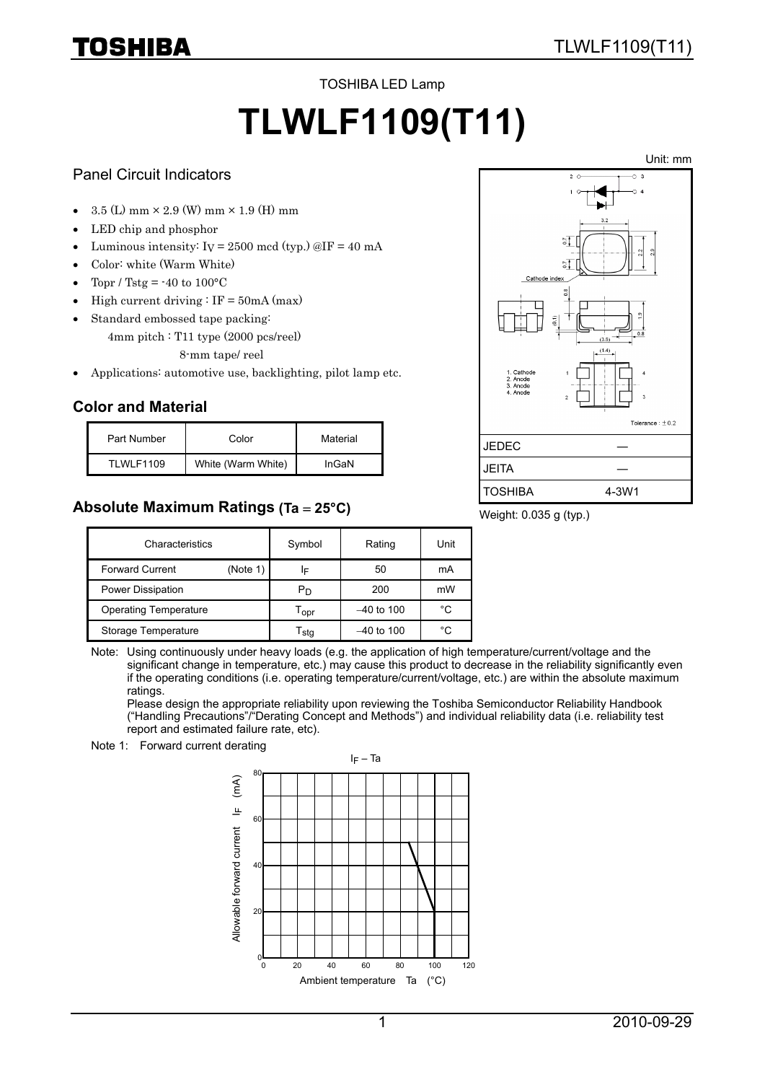#### TOSHIBA LED Lamp

# **TLWLF1109(T11)**

#### Panel Circuit Indicators

TOSHIBA

- $3.5$  (L) mm  $\times$  2.9 (W) mm  $\times$  1.9 (H) mm
- LED chip and phosphor
- Luminous intensity:  $I_V = 2500 \text{ med (typ.)} \textcircled{aIF} = 40 \text{ mA}$
- Color: white (Warm White)
- Topr / Tstg =  $-40$  to  $100^{\circ}$ C
- High current driving  $\colon$  IF = 50mA (max)
- Standard embossed tape packing:
	- 4mm pitch : T11 type (2000 pcs/reel) 8-mm tape/ reel
- Applications: automotive use, backlighting, pilot lamp etc.

## **Color and Material**

| Part Number | Color              | Material |
|-------------|--------------------|----------|
| TLWLF1109   | White (Warm White) | InGaN    |

## **Absolute Maximum Ratings (Ta** = **25°C)**



Weight: 0.035 g (typ.)

| Characteristics              |          | Symbol                    | Rating       | Unit |
|------------------------------|----------|---------------------------|--------------|------|
| <b>Forward Current</b>       | (Note 1) | ΙF                        | 50           | mA   |
| Power Dissipation            |          | Рŋ                        | 200          | mW   |
| <b>Operating Temperature</b> |          | $T_{\text{opt}}$          | $-40$ to 100 | °C   |
| Storage Temperature          |          | $\mathsf{r}_\mathsf{sta}$ | $-40$ to 100 | °C   |

Note: Using continuously under heavy loads (e.g. the application of high temperature/current/voltage and the significant change in temperature, etc.) may cause this product to decrease in the reliability significantly even if the operating conditions (i.e. operating temperature/current/voltage, etc.) are within the absolute maximum ratings.

Please design the appropriate reliability upon reviewing the Toshiba Semiconductor Reliability Handbook ("Handling Precautions"/"Derating Concept and Methods") and individual reliability data (i.e. reliability test report and estimated failure rate, etc).



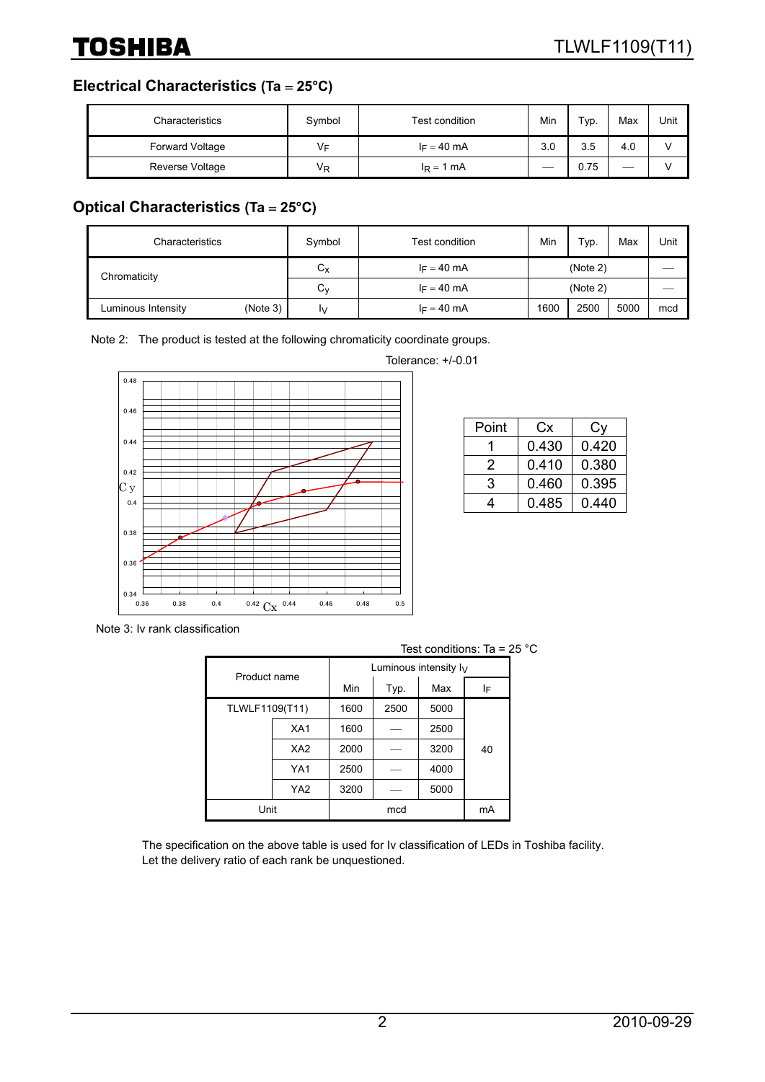**Electrical Characteristics (Ta** = **25°C)**

| Characteristics        | Symbol | Test condition | Min | Typ. | Max | Unit |
|------------------------|--------|----------------|-----|------|-----|------|
| <b>Forward Voltage</b> | V⊧     | $I_F = 40$ mA  | 3.0 | 3.5  | 4.0 |      |
| Reverse Voltage        | Vĸ     | $I_R = 1$ mA   |     | 0.75 | __  |      |

# **Optical Characteristics (Ta** = **25°C)**

| Characteristics    |          | Symbol      | Test condition | Min      | Typ. | Max  | Unit |
|--------------------|----------|-------------|----------------|----------|------|------|------|
| Chromaticity       |          | $C_{\rm X}$ | $I_F = 40$ mA  | (Note 2) |      |      |      |
|                    |          | $C_{V}$     | $I_F = 40$ mA  | (Note 2) |      |      |      |
| Luminous Intensity | (Note 3) | I٧          | $I_F = 40$ mA  | 1600     | 2500 | 5000 | mcd  |

Note 2: The product is tested at the following chromaticity coordinate groups.



| Tolerance: $+/-0.01$ |  |
|----------------------|--|
|                      |  |

| Point | Сx    | Cv    |
|-------|-------|-------|
|       | 0.430 | 0.420 |
| 2     | 0.410 | 0.380 |
| 3     | 0.460 | 0.395 |
|       | 0.485 | 0.440 |

Note 3: Iv rank classification

|                | 1001 001101110110. Tu |      |                          |      |    |
|----------------|-----------------------|------|--------------------------|------|----|
| Product name   |                       |      | Luminous intensity $I_V$ |      |    |
|                |                       | Min  | Typ.                     | Max  | ΙF |
| TLWLF1109(T11) |                       | 1600 | 2500                     | 5000 |    |
|                | XA <sub>1</sub>       | 1600 |                          | 2500 |    |
|                | XA <sub>2</sub>       | 2000 |                          | 3200 | 40 |
|                | YA1                   | 2500 |                          | 4000 |    |
|                | YA <sub>2</sub>       | 3200 |                          | 5000 |    |
| Unit           |                       | mcd  |                          | mA   |    |

Test conditions: Ta = 25 °C

The specification on the above table is used for Iv classification of LEDs in Toshiba facility. Let the delivery ratio of each rank be unquestioned.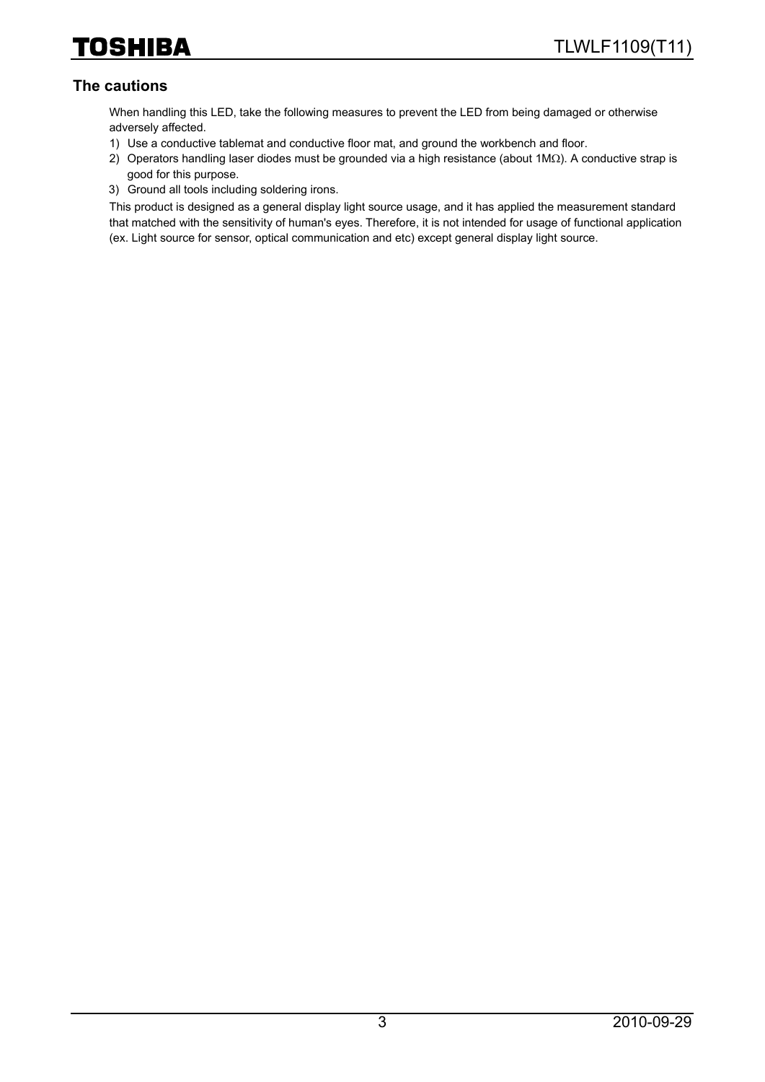### **The cautions**

When handling this LED, take the following measures to prevent the LED from being damaged or otherwise adversely affected.

- 1) Use a conductive tablemat and conductive floor mat, and ground the workbench and floor.
- 2) Operators handling laser diodes must be grounded via a high resistance (about 1MΩ). A conductive strap is good for this purpose.
- 3) Ground all tools including soldering irons.

This product is designed as a general display light source usage, and it has applied the measurement standard that matched with the sensitivity of human's eyes. Therefore, it is not intended for usage of functional application (ex. Light source for sensor, optical communication and etc) except general display light source.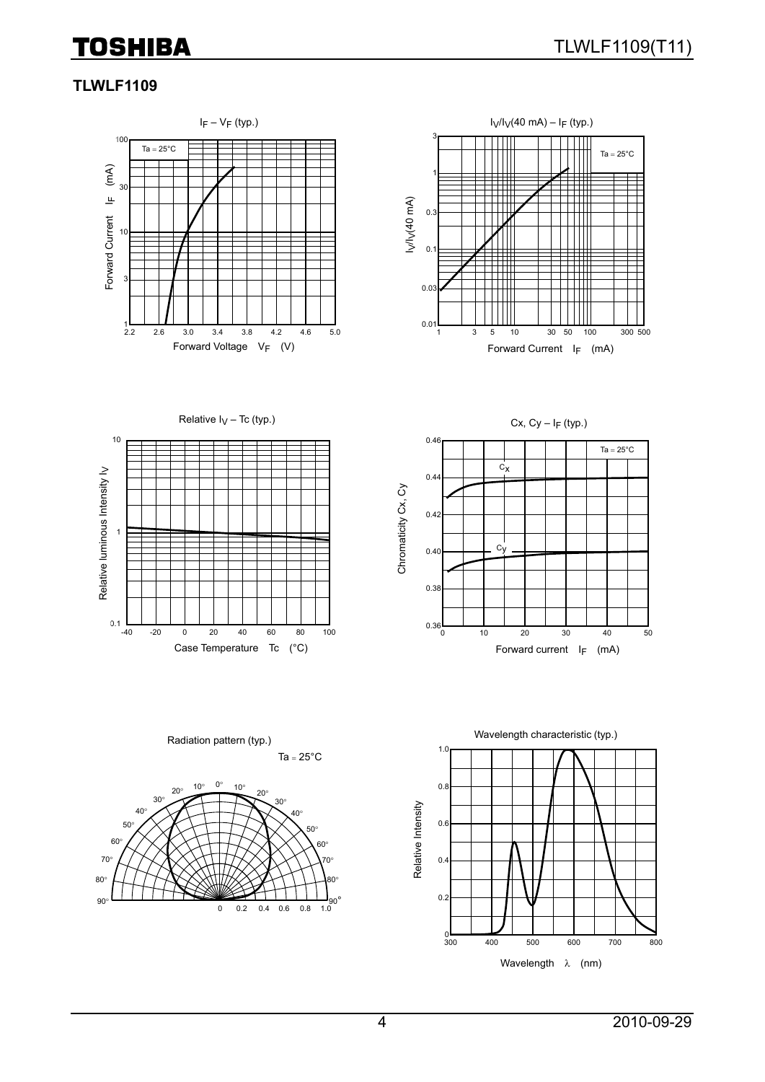#### **TLWLF1109**













Ta =  $25^{\circ}$ C Radiation pattern (typ.)

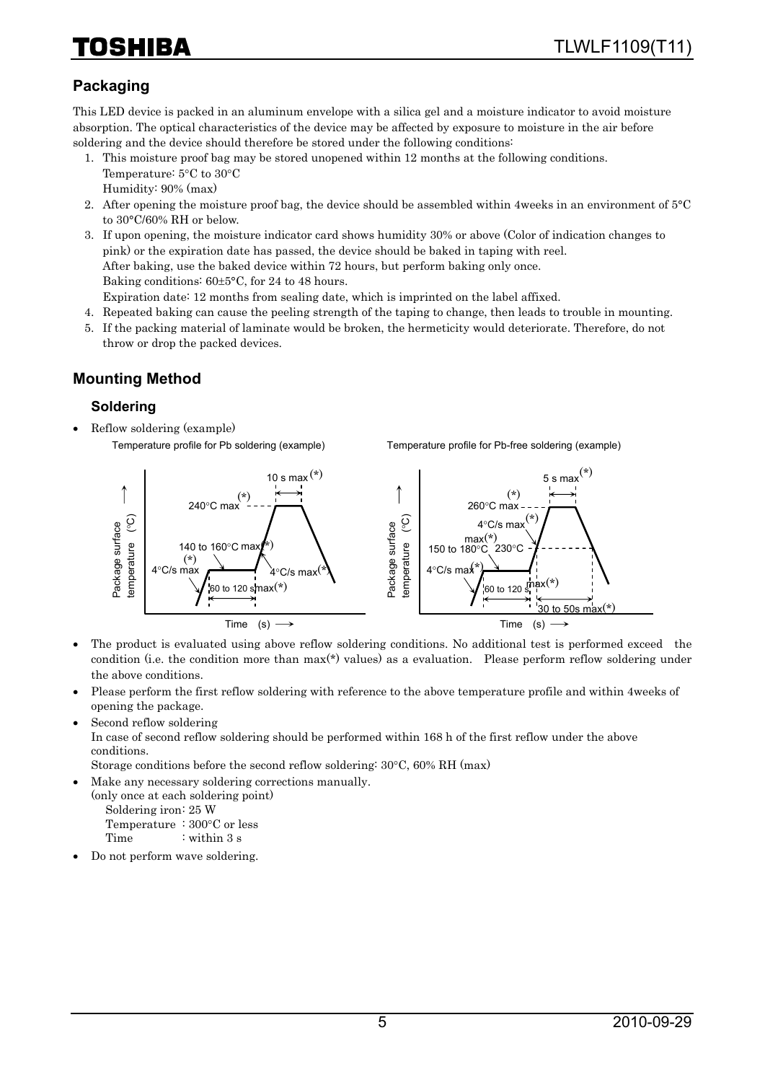# HIBA

# **Packaging**

This LED device is packed in an aluminum envelope with a silica gel and a moisture indicator to avoid moisture absorption. The optical characteristics of the device may be affected by exposure to moisture in the air before soldering and the device should therefore be stored under the following conditions:

- 1. This moisture proof bag may be stored unopened within 12 months at the following conditions. Temperature: 5°C to 30°C Humidity: 90% (max)
- 2. After opening the moisture proof bag, the device should be assembled within 4weeks in an environment of 5°C to 30°C/60% RH or below.
- 3. If upon opening, the moisture indicator card shows humidity 30% or above (Color of indication changes to pink) or the expiration date has passed, the device should be baked in taping with reel. After baking, use the baked device within 72 hours, but perform baking only once. Baking conditions: 60±5°C, for 24 to 48 hours. Expiration date: 12 months from sealing date, which is imprinted on the label affixed.
- 4. Repeated baking can cause the peeling strength of the taping to change, then leads to trouble in mounting.
- 5. If the packing material of laminate would be broken, the hermeticity would deteriorate. Therefore, do not throw or drop the packed devices.

## **Mounting Method**

#### **Soldering**

• Reflow soldering (example) Temperature profile for Pb soldering (example)

Temperature profile for Pb-free soldering (example)



- The product is evaluated using above reflow soldering conditions. No additional test is performed exceed the condition (i.e. the condition more than max(\*) values) as a evaluation. Please perform reflow soldering under the above conditions.
- Please perform the first reflow soldering with reference to the above temperature profile and within 4weeks of opening the package.
- Second reflow soldering

In case of second reflow soldering should be performed within 168 h of the first reflow under the above conditions.

Storage conditions before the second reflow soldering: 30°C, 60% RH (max)

• Make any necessary soldering corrections manually.

(only once at each soldering point) Soldering iron: 25 W

 Temperature : 300°C or less Time : within 3 s

• Do not perform wave soldering.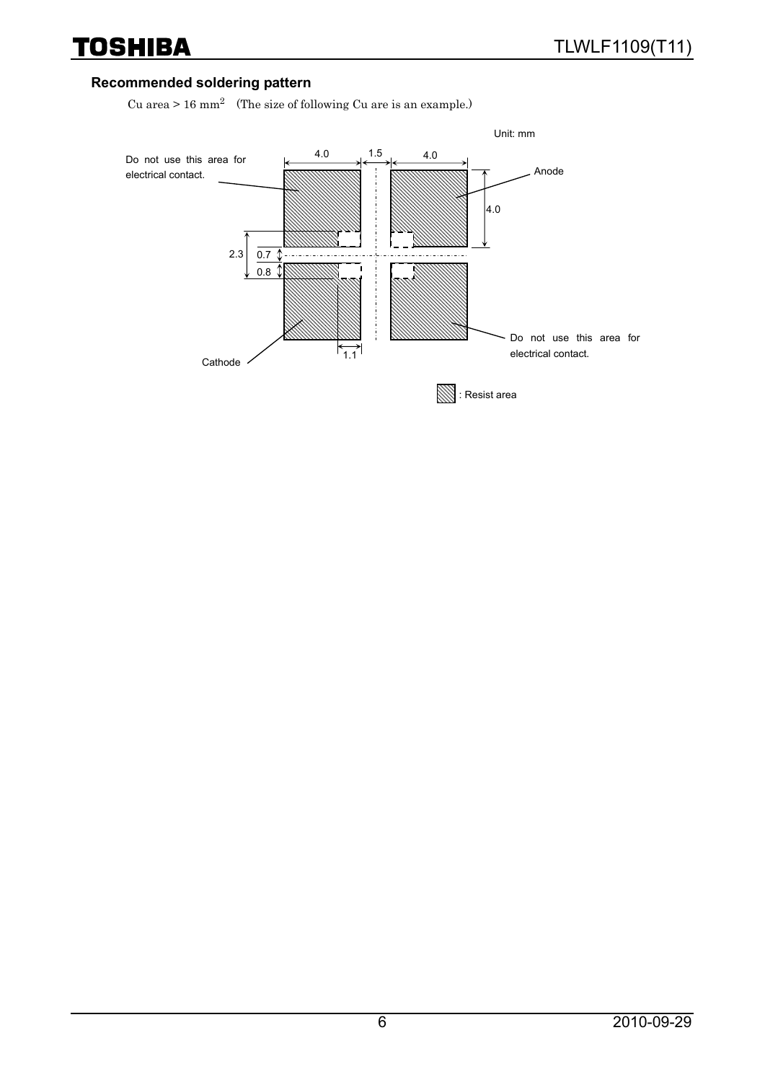### **Recommended soldering pattern**

Cu area > 16 mm2 (The size of following Cu are is an example.)

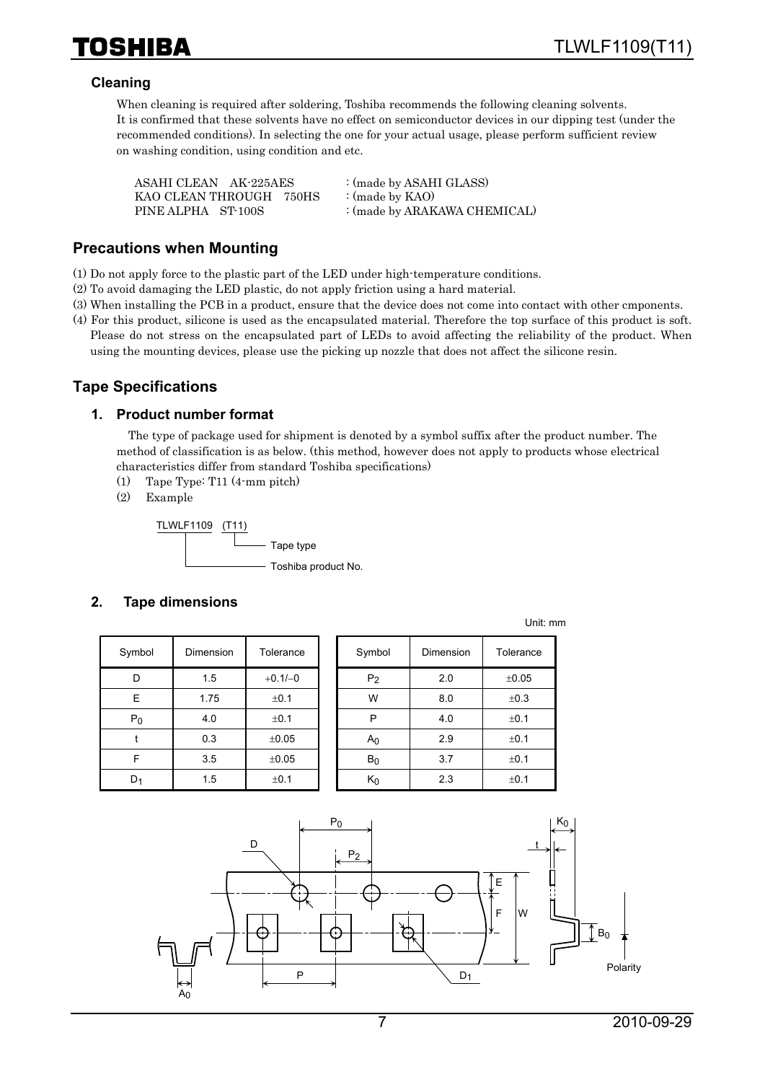#### **Cleaning**

When cleaning is required after soldering, Toshiba recommends the following cleaning solvents. It is confirmed that these solvents have no effect on semiconductor devices in our dipping test (under the recommended conditions). In selecting the one for your actual usage, please perform sufficient review on washing condition, using condition and etc.

| ASAHI CLEAN AK-225AES   | : (made by ASAHI GLASS)      |
|-------------------------|------------------------------|
| KAO CLEAN THROUGH 750HS | : (made by $KAO$ )           |
| PINE ALPHA ST-100S      | : (made by ARAKAWA CHEMICAL) |

#### **Precautions when Mounting**

(1) Do not apply force to the plastic part of the LED under high-temperature conditions.

- (2) To avoid damaging the LED plastic, do not apply friction using a hard material.
- (3) When installing the PCB in a product, ensure that the device does not come into contact with other cmponents.
- (4) For this product, silicone is used as the encapsulated material. Therefore the top surface of this product is soft. Please do not stress on the encapsulated part of LEDs to avoid affecting the reliability of the product. When using the mounting devices, please use the picking up nozzle that does not affect the silicone resin.

#### **Tape Specifications**

#### **1. Product number format**

The type of package used for shipment is denoted by a symbol suffix after the product number. The method of classification is as below. (this method, however does not apply to products whose electrical characteristics differ from standard Toshiba specifications)

- (1) Tape Type: T11 (4-mm pitch)
- (2) Example

TLWLF1109 (T11) Tape type - Toshiba product No.

#### **2. Tape dimensions**

| Symbol | Dimension        | Tolerance  |
|--------|------------------|------------|
| D      | 1.5              | $+0.1/-0$  |
| E      | 1.75             | ±0.1       |
| $P_0$  | 4.0              | ±0.1       |
|        | 0.3              | $\pm 0.05$ |
| F      | 3.5              | $\pm 0.05$ |
|        | 1.5<br>$\pm$ 0.1 |            |

| Symbol | Dimension | Tolerance  | Symbol         | Dimension | Tolerance |
|--------|-----------|------------|----------------|-----------|-----------|
| D      | 1.5       | $+0.1/-0$  | P <sub>2</sub> | 2.0       | ±0.05     |
| E      | 1.75      | ±0.1       | W              | 8.0       | ±0.3      |
| $P_0$  | 4.0       | ±0.1       | P              | 4.0       | ±0.1      |
|        | 0.3       | $\pm 0.05$ | A <sub>0</sub> | 2.9       | ±0.1      |
| F      | 3.5       | $\pm 0.05$ | $B_0$          | 3.7       | ±0.1      |
| $D_1$  | 1.5       | ±0.1       | $K_0$          | 2.3       | ±0.1      |

Unit: mm

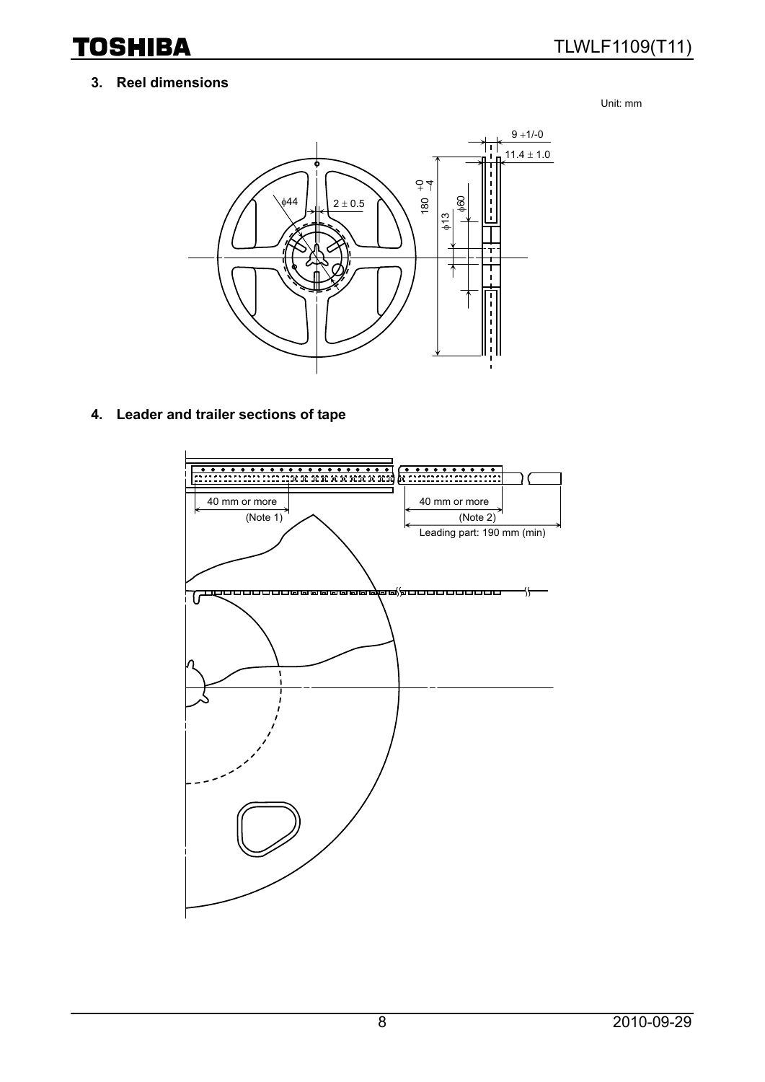#### **3. Reel dimensions**

Unit: mm



**4. Leader and trailer sections of tape** 

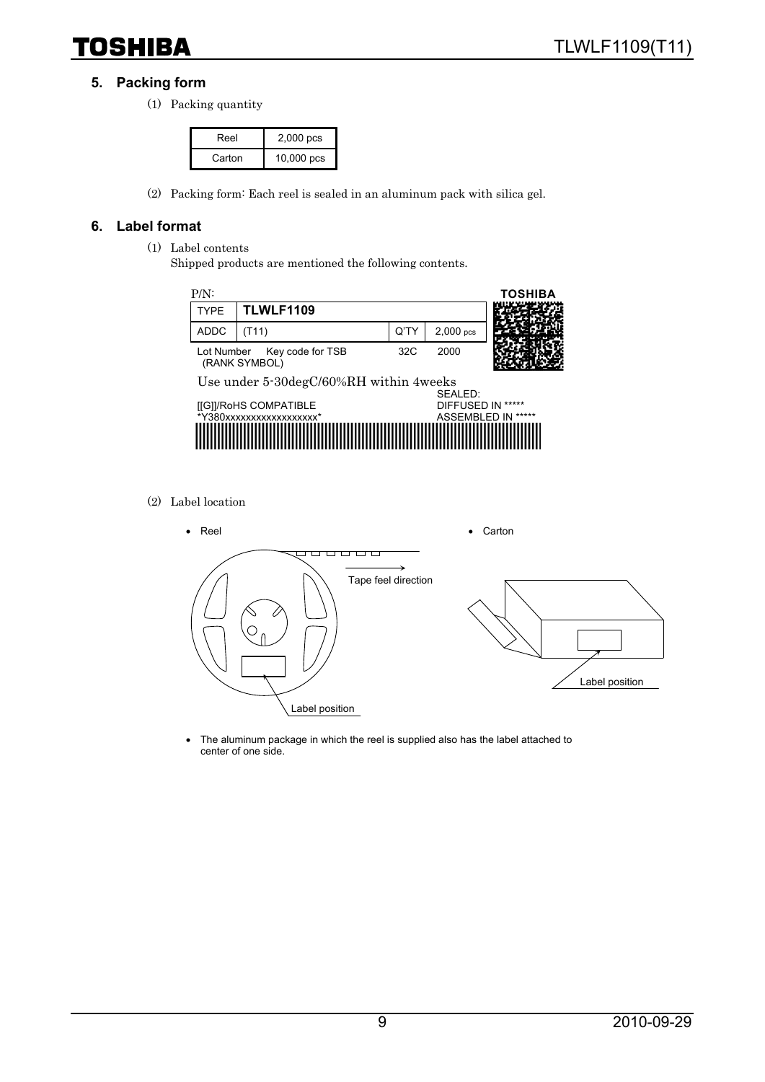#### **5. Packing form**

(1) Packing quantity

| Reel   | 2,000 pcs  |
|--------|------------|
| Carton | 10,000 pcs |

(2) Packing form: Each reel is sealed in an aluminum pack with silica gel.

#### **6. Label format**

- (1) Label contents
	- Shipped products are mentioned the following contents.



(2) Label location



• The aluminum package in which the reel is supplied also has the label attached to center of one side.